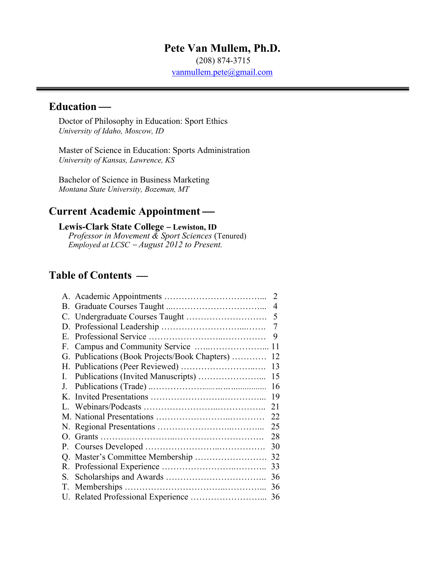## **Pete Van Mullem, Ph.D.**

(208) 874-3715

vanmullem.pete@gmail.com

# **Education** —

Doctor of Philosophy in Education: Sport Ethics *University of Idaho, Moscow, ID*

Master of Science in Education: Sports Administration *University of Kansas, Lawrence, KS*

Bachelor of Science in Business Marketing *Montana State University, Bozeman, MT*

## **Current Academic Appointment —**

#### **Lewis-Clark State College** - **Lewiston, ID** *Professor in Movement & Sport Sciences* (Tenured) *Employed at LCSC* - *August 2012 to Present.*

# **Table of Contents —**

|             |                                               | 2  |
|-------------|-----------------------------------------------|----|
|             |                                               | 4  |
|             |                                               | 5  |
|             |                                               | 7  |
| $E_{\rm c}$ |                                               | 9  |
| F.          |                                               | 11 |
|             | G. Publications (Book Projects/Book Chapters) | 12 |
|             |                                               | 13 |
| L.          |                                               | 15 |
| J.          |                                               | 16 |
|             |                                               | 19 |
|             |                                               | 21 |
|             |                                               | 22 |
|             |                                               | 25 |
|             |                                               | 28 |
| $P_{\perp}$ |                                               | 30 |
| Q.          |                                               | 32 |
|             |                                               | 33 |
| S.          |                                               | 36 |
| T.          |                                               | 36 |
|             |                                               | 36 |
|             |                                               |    |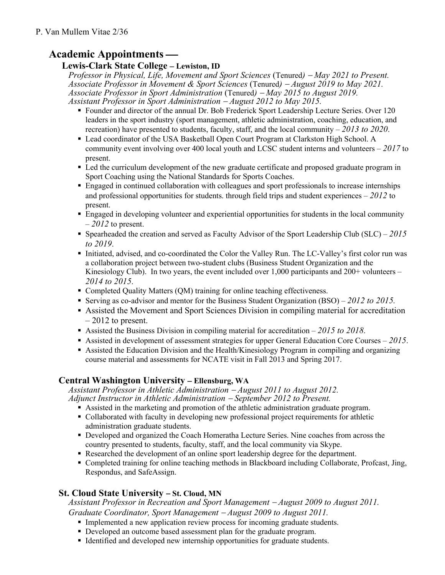# Academic Appointments —

### **Lewis-Clark State College** - **Lewiston, ID**

 *Professor in Physical, Life, Movement and Sport Sciences* (Tenured*)* - *May 2021 to Present. Associate Professor in Movement & Sport Sciences* (Tenured*)* - *August 2019 to May 2021. Associate Professor in Sport Administration* (Tenured*)* - *May 2015 to August 2019. Assistant Professor in Sport Administration* - *August 2012 to May 2015.*

- § Founder and director of the annual Dr. Bob Frederick Sport Leadership Lecture Series. Over 120 leaders in the sport industry (sport management, athletic administration, coaching, education, and recreation) have presented to students, faculty, staff, and the local community – *2013 to 2020*.
- Lead coordinator of the USA Basketball Open Court Program at Clarkston High School. A community event involving over 400 local youth and LCSC student interns and volunteers – *2017* to present.
- Led the curriculum development of the new graduate certificate and proposed graduate program in Sport Coaching using the National Standards for Sports Coaches.
- § Engaged in continued collaboration with colleagues and sport professionals to increase internships and professional opportunities for students. through field trips and student experiences – *2012* to present.
- § Engaged in developing volunteer and experiential opportunities for students in the local community – *2012* to present.
- § Spearheaded the creation and served as Faculty Advisor of the Sport Leadership Club (SLC) *2015 to 2019*.
- § Initiated, advised, and co-coordinated the Color the Valley Run. The LC-Valley's first color run was a collaboration project between two-student clubs (Business Student Organization and the Kinesiology Club). In two years, the event included over 1,000 participants and 200+ volunteers – *2014 to 2015*.
- Completed Quality Matters (QM) training for online teaching effectiveness.
- § Serving as co-advisor and mentor for the Business Student Organization (BSO) *2012 to 2015.*
- § Assisted the Movement and Sport Sciences Division in compiling material for accreditation  $-2012$  to present.
- § Assisted the Business Division in compiling material for accreditation *2015 to 2018*.
- § Assisted in development of assessment strategies for upper General Education Core Courses *2015*.
- § Assisted the Education Division and the Health/Kinesiology Program in compiling and organizing course material and assessments for NCATE visit in Fall 2013 and Spring 2017.

# **Central Washington University** - **Ellensburg, WA**

 *Assistant Professor in Athletic Administration* - *August 2011 to August 2012. Adjunct Instructor in Athletic Administration* - *September 2012 to Present.*

- Assisted in the marketing and promotion of the athletic administration graduate program.
- Collaborated with faculty in developing new professional project requirements for athletic administration graduate students.
- Developed and organized the Coach Homeratha Lecture Series. Nine coaches from across the country presented to students, faculty, staff, and the local community via Skype.
- § Researched the development of an online sport leadership degree for the department.
- § Completed training for online teaching methods in Blackboard including Collaborate, Profcast, Jing, Respondus, and SafeAssign.

# **St. Cloud State University** - **St. Cloud, MN**

 *Assistant Professor in Recreation and Sport Management* - *August 2009 to August 2011. Graduate Coordinator, Sport Management* - *August 2009 to August 2011.*

- Implemented a new application review process for incoming graduate students.
- Developed an outcome based assessment plan for the graduate program.
- Identified and developed new internship opportunities for graduate students.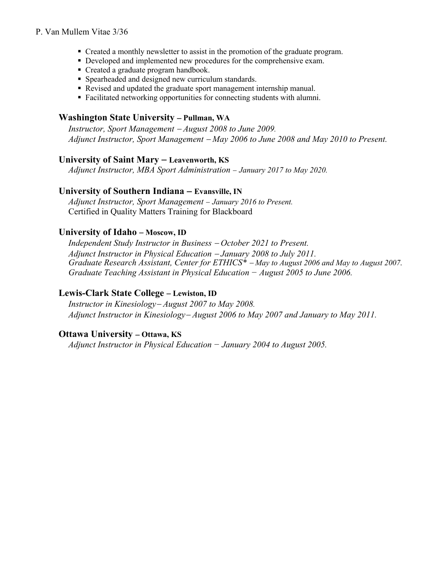#### P. Van Mullem Vitae 3/36

- Created a monthly newsletter to assist in the promotion of the graduate program.
- Developed and implemented new procedures for the comprehensive exam.
- Created a graduate program handbook.
- § Spearheaded and designed new curriculum standards.
- Revised and updated the graduate sport management internship manual.
- Facilitated networking opportunities for connecting students with alumni.

#### **Washington State University** - **Pullman, WA**

 *Instructor, Sport Management* - *August 2008 to June 2009. Adjunct Instructor, Sport Management* - *May 2006 to June 2008 and May 2010 to Present.*

#### **University of Saint Mary** - **Leavenworth, KS**

*Adjunct Instructor, MBA Sport Administration* - *January 2017 to May 2020.*

#### **University of Southern Indiana** - **Evansville, IN**

*Adjunct Instructor, Sport Management* - *January 2016 to Present.* Certified in Quality Matters Training for Blackboard

### **University of Idaho** – Moscow, ID

*Independent Study Instructor in Business* - *October 2021 to Present. Adjunct Instructor in Physical Education* - *January 2008 to July 2011. Graduate Research Assistant, Center for ETHICS\** - *May to August 2006 and May to August 2007. Graduate Teaching Assistant in Physical Education − August 2005 to June 2006.*

### **Lewis-Clark State College** - **Lewiston, ID**

 *Instructor in Kinesiology*- *August 2007 to May 2008. Adjunct Instructor in Kinesiology*- *August 2006 to May 2007 and January to May 2011.*

#### **Ottawa University** - **Ottawa, KS**

 *Adjunct Instructor in Physical Education − January 2004 to August 2005.*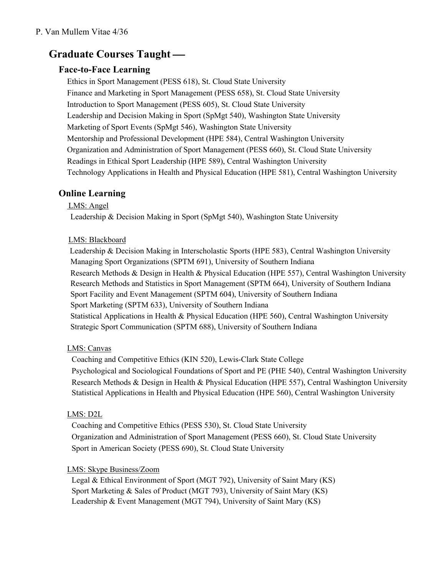# **Graduate Courses Taught —**

## **Face-to-Face Learning**

Ethics in Sport Management (PESS 618), St. Cloud State University Finance and Marketing in Sport Management (PESS 658), St. Cloud State University Introduction to Sport Management (PESS 605), St. Cloud State University Leadership and Decision Making in Sport (SpMgt 540), Washington State University Marketing of Sport Events (SpMgt 546), Washington State University Mentorship and Professional Development (HPE 584), Central Washington University Organization and Administration of Sport Management (PESS 660), St. Cloud State University Readings in Ethical Sport Leadership (HPE 589), Central Washington University Technology Applications in Health and Physical Education (HPE 581), Central Washington University

# **Online Learning**

#### LMS: Angel

Leadership & Decision Making in Sport (SpMgt 540), Washington State University

### LMS: Blackboard

 Leadership & Decision Making in Interscholastic Sports (HPE 583), Central Washington University Managing Sport Organizations (SPTM 691), University of Southern Indiana Research Methods & Design in Health & Physical Education (HPE 557), Central Washington University Research Methods and Statistics in Sport Management (SPTM 664), University of Southern Indiana Sport Facility and Event Management (SPTM 604), University of Southern Indiana Sport Marketing (SPTM 633), University of Southern Indiana Statistical Applications in Health & Physical Education (HPE 560), Central Washington University Strategic Sport Communication (SPTM 688), University of Southern Indiana

### LMS: Canvas

Coaching and Competitive Ethics (KIN 520), Lewis-Clark State College Psychological and Sociological Foundations of Sport and PE (PHE 540), Central Washington University Research Methods & Design in Health & Physical Education (HPE 557), Central Washington University Statistical Applications in Health and Physical Education (HPE 560), Central Washington University

### LMS: D2L

Coaching and Competitive Ethics (PESS 530), St. Cloud State University Organization and Administration of Sport Management (PESS 660), St. Cloud State University Sport in American Society (PESS 690), St. Cloud State University

### LMS: Skype Business/Zoom

Legal & Ethical Environment of Sport (MGT 792), University of Saint Mary (KS) Sport Marketing & Sales of Product (MGT 793), University of Saint Mary (KS) Leadership & Event Management (MGT 794), University of Saint Mary (KS)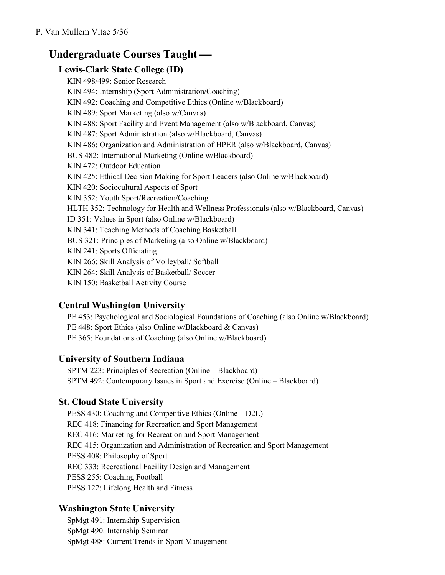# **Undergraduate Courses Taught —**

## **Lewis-Clark State College (ID)**

KIN 498/499: Senior Research KIN 494: Internship (Sport Administration/Coaching) KIN 492: Coaching and Competitive Ethics (Online w/Blackboard) KIN 489: Sport Marketing (also w/Canvas) KIN 488: Sport Facility and Event Management (also w/Blackboard, Canvas) KIN 487: Sport Administration (also w/Blackboard, Canvas) KIN 486: Organization and Administration of HPER (also w/Blackboard, Canvas) BUS 482: International Marketing (Online w/Blackboard) KIN 472: Outdoor Education KIN 425: Ethical Decision Making for Sport Leaders (also Online w/Blackboard) KIN 420: Sociocultural Aspects of Sport KIN 352: Youth Sport/Recreation/Coaching HLTH 352: Technology for Health and Wellness Professionals (also w/Blackboard, Canvas) ID 351: Values in Sport (also Online w/Blackboard) KIN 341: Teaching Methods of Coaching Basketball BUS 321: Principles of Marketing (also Online w/Blackboard) KIN 241: Sports Officiating KIN 266: Skill Analysis of Volleyball/ Softball KIN 264: Skill Analysis of Basketball/ Soccer KIN 150: Basketball Activity Course

### **Central Washington University**

PE 453: Psychological and Sociological Foundations of Coaching (also Online w/Blackboard) PE 448: Sport Ethics (also Online w/Blackboard & Canvas) PE 365: Foundations of Coaching (also Online w/Blackboard)

### **University of Southern Indiana**

SPTM 223: Principles of Recreation (Online – Blackboard) SPTM 492: Contemporary Issues in Sport and Exercise (Online – Blackboard)

### **St. Cloud State University**

PESS 430: Coaching and Competitive Ethics (Online – D2L) REC 418: Financing for Recreation and Sport Management REC 416: Marketing for Recreation and Sport Management REC 415: Organization and Administration of Recreation and Sport Management PESS 408: Philosophy of Sport REC 333: Recreational Facility Design and Management PESS 255: Coaching Football PESS 122: Lifelong Health and Fitness

### **Washington State University**

SpMgt 491: Internship Supervision SpMgt 490: Internship Seminar SpMgt 488: Current Trends in Sport Management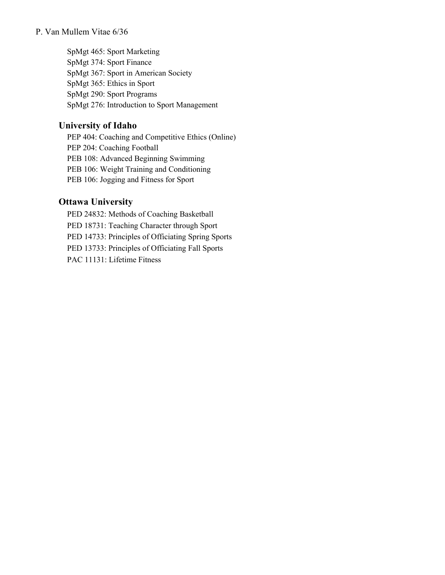#### P. Van Mullem Vitae 6/36

SpMgt 465: Sport Marketing SpMgt 374: Sport Finance SpMgt 367: Sport in American Society SpMgt 365: Ethics in Sport SpMgt 290: Sport Programs SpMgt 276: Introduction to Sport Management

### **University of Idaho**

PEP 404: Coaching and Competitive Ethics (Online) PEP 204: Coaching Football PEB 108: Advanced Beginning Swimming PEB 106: Weight Training and Conditioning PEB 106: Jogging and Fitness for Sport

## **Ottawa University**

PED 24832: Methods of Coaching Basketball PED 18731: Teaching Character through Sport PED 14733: Principles of Officiating Spring Sports PED 13733: Principles of Officiating Fall Sports PAC 11131: Lifetime Fitness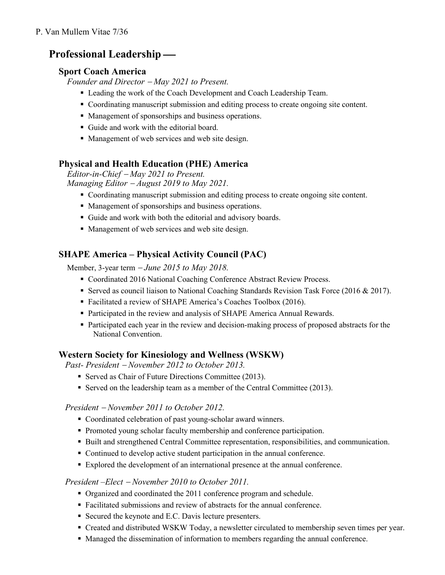# **Professional Leadership —**

### **Sport Coach America**

*Founder and Director* - *May 2021 to Present.*

- Leading the work of the Coach Development and Coach Leadership Team.
- § Coordinating manuscript submission and editing process to create ongoing site content.
- Management of sponsorships and business operations.
- § Guide and work with the editorial board.
- Management of web services and web site design.

### **Physical and Health Education (PHE) America**

*Editor-in-Chief* - *May 2021 to Present. Managing Editor* - *August 2019 to May 2021.*

- Coordinating manuscript submission and editing process to create ongoing site content.
- Management of sponsorships and business operations.
- Guide and work with both the editorial and advisory boards.
- Management of web services and web site design.

## **SHAPE America – Physical Activity Council (PAC)**

Member, 3-year term - *June 2015 to May 2018.*

- Coordinated 2016 National Coaching Conference Abstract Review Process.
- Served as council liaison to National Coaching Standards Revision Task Force (2016 & 2017).
- Facilitated a review of SHAPE America's Coaches Toolbox (2016).
- § Participated in the review and analysis of SHAPE America Annual Rewards.
- § Participated each year in the review and decision-making process of proposed abstracts for the National Convention.

### **Western Society for Kinesiology and Wellness (WSKW)**

*Past- President* - *November 2012 to October 2013.*

- Served as Chair of Future Directions Committee (2013).
- Served on the leadership team as a member of the Central Committee (2013).

### *President* - *November 2011 to October 2012.*

- Coordinated celebration of past young-scholar award winners.
- § Promoted young scholar faculty membership and conference participation.
- Built and strengthened Central Committee representation, responsibilities, and communication.
- Continued to develop active student participation in the annual conference.
- § Explored the development of an international presence at the annual conference.

### *President –Elect* - *November 2010 to October 2011.*

- § Organized and coordinated the 2011 conference program and schedule.
- Facilitated submissions and review of abstracts for the annual conference.
- Secured the keynote and E.C. Davis lecture presenters.
- § Created and distributed WSKW Today, a newsletter circulated to membership seven times per year.
- Managed the dissemination of information to members regarding the annual conference.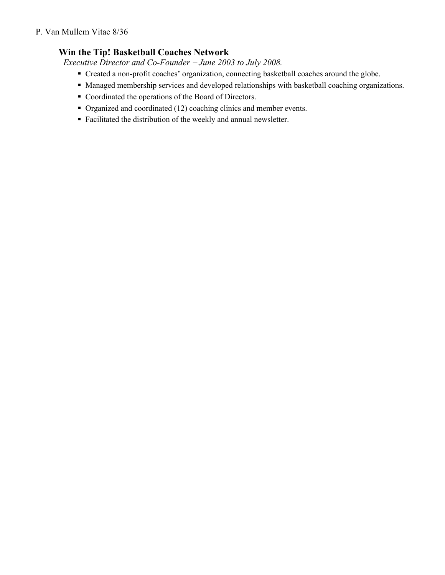#### P. Van Mullem Vitae 8/36

## **Win the Tip! Basketball Coaches Network**

*Executive Director and Co-Founder* - *June 2003 to July 2008.* 

- § Created a non-profit coaches' organization, connecting basketball coaches around the globe.
- Managed membership services and developed relationships with basketball coaching organizations.
- Coordinated the operations of the Board of Directors.
- Organized and coordinated (12) coaching clinics and member events.
- § Facilitated the distribution of the weekly and annual newsletter.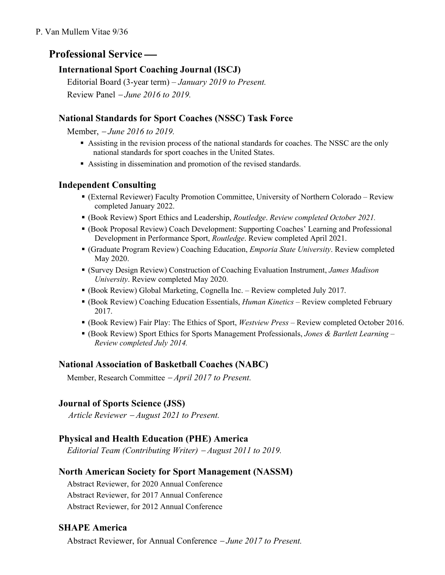# **Professional Service —**

# **International Sport Coaching Journal (ISCJ)**

Editorial Board (3-year term) – *January 2019 to Present.* Review Panel - *June 2016 to 2019.*

## **National Standards for Sport Coaches (NSSC) Task Force**

Member, - *June 2016 to 2019.*

- § Assisting in the revision process of the national standards for coaches. The NSSC are the only national standards for sport coaches in the United States.
- Assisting in dissemination and promotion of the revised standards.

## **Independent Consulting**

- § (External Reviewer) Faculty Promotion Committee, University of Northern Colorado Review completed January 2022.
- § (Book Review) Sport Ethics and Leadership, *Routledge*. *Review completed October 2021.*
- § (Book Proposal Review) Coach Development: Supporting Coaches' Learning and Professional Development in Performance Sport, *Routledge*. Review completed April 2021.
- § (Graduate Program Review) Coaching Education, *Emporia State University*. Review completed May 2020.
- § (Survey Design Review) Construction of Coaching Evaluation Instrument, *James Madison University*. Review completed May 2020.
- § (Book Review) Global Marketing, Cognella Inc. Review completed July 2017.
- § (Book Review) Coaching Education Essentials, *Human Kinetics* Review completed February 2017.
- § (Book Review) Fair Play: The Ethics of Sport, *Westview Press –* Review completed October 2016.
- § (Book Review) Sport Ethics for Sports Management Professionals, *Jones & Bartlett Learning – Review completed July 2014.*

### **National Association of Basketball Coaches (NABC)**

Member, Research Committee  $-April 2017$  to Present.

# **Journal of Sports Science (JSS)**

*Article Reviewer* - *August 2021 to Present.*

### **Physical and Health Education (PHE) America**

*Editorial Team (Contributing Writer)* - *August 2011 to 2019.*

### **North American Society for Sport Management (NASSM)**

Abstract Reviewer, for 2020 Annual Conference Abstract Reviewer, for 2017 Annual Conference Abstract Reviewer, for 2012 Annual Conference

### **SHAPE America**

Abstract Reviewer, for Annual Conference - *June 2017 to Present.*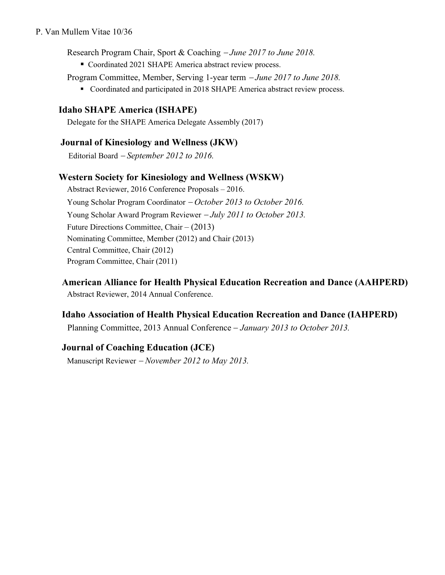#### P. Van Mullem Vitae 10/36

Research Program Chair, Sport & Coaching - *June 2017 to June 2018.*

- Coordinated 2021 SHAPE America abstract review process.
- Program Committee, Member, Serving 1-year term *June 2017 to June 2018.*
	- Coordinated and participated in 2018 SHAPE America abstract review process.

### **Idaho SHAPE America (ISHAPE)**

Delegate for the SHAPE America Delegate Assembly (2017)

### **Journal of Kinesiology and Wellness (JKW)**

Editorial Board - *September 2012 to 2016.*

#### **Western Society for Kinesiology and Wellness (WSKW)**

Abstract Reviewer, 2016 Conference Proposals – 2016. Young Scholar Program Coordinator - October 2013 to October 2016. Young Scholar Award Program Reviewer - *July 2011 to October 2013.* Future Directions Committee, Chair *–* (2013) Nominating Committee, Member (2012) and Chair (2013) Central Committee, Chair (2012) Program Committee, Chair (2011)

**American Alliance for Health Physical Education Recreation and Dance (AAHPERD)** Abstract Reviewer, 2014 Annual Conference.

### **Idaho Association of Health Physical Education Recreation and Dance (IAHPERD)**

Planning Committee, 2013 Annual Conference - *January 2013 to October 2013.*

### **Journal of Coaching Education (JCE)**

Manuscript Reviewer - *November 2012 to May 2013.*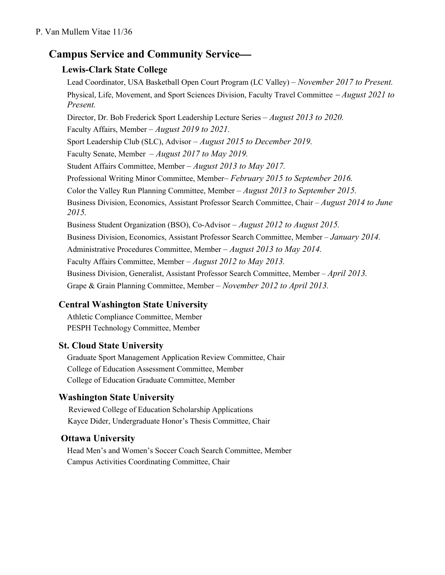# **Campus Service and Community Service—**

# **Lewis-Clark State College**

Lead Coordinator, USA Basketball Open Court Program (LC Valley) *– November 2017 to Present.* Physical, Life, Movement, and Sport Sciences Division, Faculty Travel Committee - *August 2021 to Present.* Director, Dr. Bob Frederick Sport Leadership Lecture Series *– August 2013 to 2020.* Faculty Affairs, Member *– August 2019 to 2021.* Sport Leadership Club (SLC), Advisor *– August 2015 to December 2019.* Faculty Senate, Member *– August 2017 to May 2019.* Student Affairs Committee, Member *– August 2013 to May 2017.* Professional Writing Minor Committee, Member*– February 2015 to September 2016.* Color the Valley Run Planning Committee, Member *– August 2013 to September 2015.* Business Division, Economics, Assistant Professor Search Committee, Chair – *August 2014 to June 2015.* Business Student Organization (BSO), Co-Advisor *– August 2012 to August 2015.* Business Division, Economics, Assistant Professor Search Committee, Member – *January 2014.* Administrative Procedures Committee, Member *– August 2013 to May 2014.* Faculty Affairs Committee, Member *– August 2012 to May 2013.* Business Division, Generalist, Assistant Professor Search Committee, Member – *April 2013.* Grape & Grain Planning Committee, Member *– November 2012 to April 2013.*

# **Central Washington State University**

Athletic Compliance Committee, Member PESPH Technology Committee, Member

### **St. Cloud State University**

Graduate Sport Management Application Review Committee, Chair College of Education Assessment Committee, Member College of Education Graduate Committee, Member

### **Washington State University**

Reviewed College of Education Scholarship Applications Kayce Dider, Undergraduate Honor's Thesis Committee, Chair

### **Ottawa University**

Head Men's and Women's Soccer Coach Search Committee, Member Campus Activities Coordinating Committee, Chair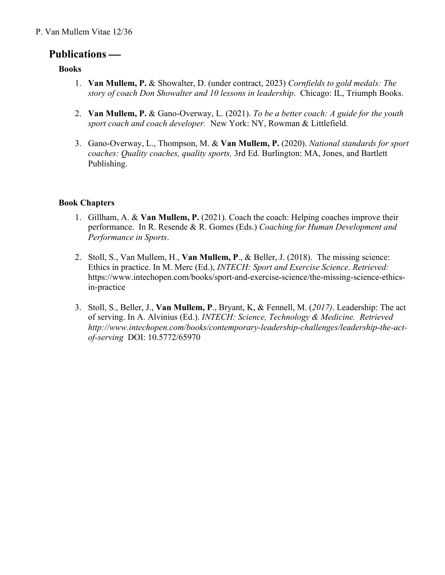### P. Van Mullem Vitae 12/36

# **Publications —**

### **Books**

- 1. **Van Mullem, P.** & Showalter, D. (under contract, 2023) *Cornfields to gold medals: The story of coach Don Showalter and 10 lessons in leadership*. Chicago: IL, Triumph Books.
- 2. **Van Mullem, P.** & Gano-Overway, L. (2021). *To be a better coach: A guide for the youth sport coach and coach developer.* New York: NY, Rowman & Littlefield.
- 3. Gano-Overway, L., Thompson, M. & **Van Mullem, P.** (2020). *National standards for sport coaches: Quality coaches, quality sports,* 3rd Ed. Burlington: MA, Jones, and Bartlett Publishing.

#### **Book Chapters**

- 1. Gillham, A. & **Van Mullem, P.** (2021). Coach the coach: Helping coaches improve their performance. In R. Resende & R. Gomes (Eds.) *Coaching for Human Development and Performance in Sports*.
- 2. Stoll, S., Van Mullem, H., **Van Mullem, P**., & Beller, J. (2018). The missing science: Ethics in practice. In M. Merc (Ed.), *INTECH: Sport and Exercise Science*. *Retrieved:* https://www.intechopen.com/books/sport-and-exercise-science/the-missing-science-ethicsin-practice
- 3. Stoll, S., Beller, J., **Van Mullem, P**., Bryant, K, & Fennell, M. (*2017)*. Leadership: The act of serving. In A. Alvinius (Ed.). *INTECH: Science, Technology & Medicine. Retrieved http://www.intechopen.com/books/contemporary-leadership-challenges/leadership-the-actof-serving* DOI: 10.5772/65970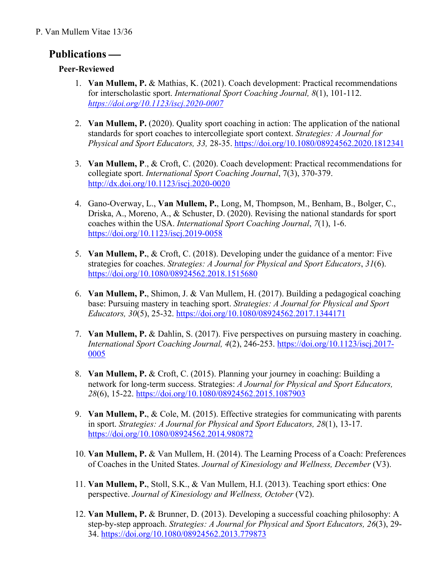### P. Van Mullem Vitae 13/36

# **Publications** —

### **Peer-Reviewed**

- 1. **Van Mullem, P.** & Mathias, K. (2021). Coach development: Practical recommendations for interscholastic sport. *International Sport Coaching Journal, 8*(1), 101-112. *https://doi.org/10.1123/iscj.2020-0007*
- 2. **Van Mullem, P.** (2020). Quality sport coaching in action: The application of the national standards for sport coaches to intercollegiate sport context. *Strategies: A Journal for Physical and Sport Educators, 33,* 28-35. https://doi.org/10.1080/08924562.2020.1812341
- 3. **Van Mullem, P**., & Croft, C. (2020). Coach development: Practical recommendations for collegiate sport. *International Sport Coaching Journal*, 7(3), 370-379. http://dx.doi.org/10.1123/iscj.2020-0020
- 4. Gano-Overway, L., **Van Mullem, P.**, Long, M, Thompson, M., Benham, B., Bolger, C., Driska, A., Moreno, A., & Schuster, D. (2020). Revising the national standards for sport coaches within the USA. *International Sport Coaching Journal*, *7*(1), 1-6. https://doi.org/10.1123/iscj.2019-0058
- 5. **Van Mullem, P.**, & Croft, C. (2018). Developing under the guidance of a mentor: Five strategies for coaches. *Strategies: A Journal for Physical and Sport Educators*, *31*(6). https://doi.org/10.1080/08924562.2018.1515680
- 6. **Van Mullem, P.**, Shimon, J. & Van Mullem, H. (2017). Building a pedagogical coaching base: Pursuing mastery in teaching sport. *Strategies: A Journal for Physical and Sport Educators, 30*(5), 25-32. https://doi.org/10.1080/08924562.2017.1344171
- 7. **Van Mullem, P.** & Dahlin, S. (2017). Five perspectives on pursuing mastery in coaching. *International Sport Coaching Journal, 4*(2), 246-253. https://doi.org/10.1123/iscj.2017- 0005
- 8. **Van Mullem, P.** & Croft, C. (2015). Planning your journey in coaching: Building a network for long-term success. Strategies: *A Journal for Physical and Sport Educators, 28*(6), 15-22. https://doi.org/10.1080/08924562.2015.1087903
- 9. **Van Mullem, P.**, & Cole, M. (2015). Effective strategies for communicating with parents in sport. *Strategies: A Journal for Physical and Sport Educators, 28*(1), 13-17. https://doi.org/10.1080/08924562.2014.980872
- 10. **Van Mullem, P.** & Van Mullem, H. (2014). The Learning Process of a Coach: Preferences of Coaches in the United States. *Journal of Kinesiology and Wellness, December* (V3).
- 11. **Van Mullem, P.**, Stoll, S.K., & Van Mullem, H.I. (2013). Teaching sport ethics: One perspective. *Journal of Kinesiology and Wellness, October* (V2).
- 12. **Van Mullem, P.** & Brunner, D. (2013). Developing a successful coaching philosophy: A step-by-step approach. *Strategies: A Journal for Physical and Sport Educators, 26*(3), 29- 34. https://doi.org/10.1080/08924562.2013.779873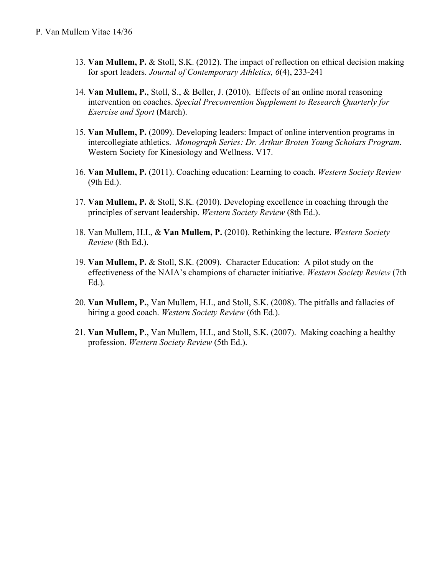- 13. **Van Mullem, P.** & Stoll, S.K. (2012). The impact of reflection on ethical decision making for sport leaders. *Journal of Contemporary Athletics, 6*(4), 233-241
- 14. **Van Mullem, P.**, Stoll, S., & Beller, J. (2010). Effects of an online moral reasoning intervention on coaches. *Special Preconvention Supplement to Research Quarterly for Exercise and Sport* (March).
- 15. **Van Mullem, P.** (2009). Developing leaders: Impact of online intervention programs in intercollegiate athletics. *Monograph Series: Dr. Arthur Broten Young Scholars Program*. Western Society for Kinesiology and Wellness. V17.
- 16. **Van Mullem, P.** (2011). Coaching education: Learning to coach. *Western Society Review* (9th Ed.).
- 17. **Van Mullem, P.** & Stoll, S.K. (2010). Developing excellence in coaching through the principles of servant leadership. *Western Society Review* (8th Ed.).
- 18. Van Mullem, H.I., & **Van Mullem, P.** (2010). Rethinking the lecture. *Western Society Review* (8th Ed.).
- 19. **Van Mullem, P.** & Stoll, S.K. (2009). Character Education: A pilot study on the effectiveness of the NAIA's champions of character initiative. *Western Society Review* (7th Ed.).
- 20. **Van Mullem, P.**, Van Mullem, H.I., and Stoll, S.K. (2008). The pitfalls and fallacies of hiring a good coach. *Western Society Review* (6th Ed.).
- 21. **Van Mullem, P**., Van Mullem, H.I., and Stoll, S.K. (2007). Making coaching a healthy profession. *Western Society Review* (5th Ed.).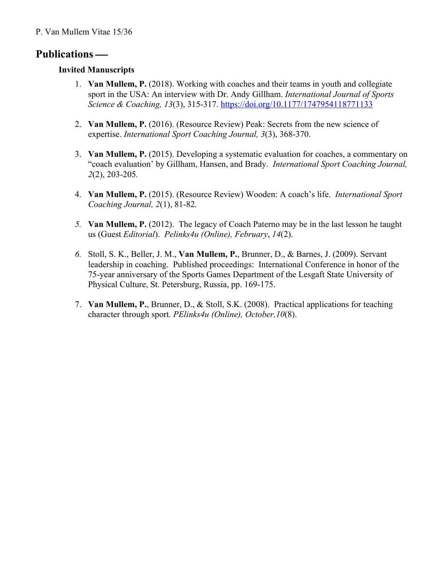# **Publications** —

### **Invited Manuscripts**

- 1. **Van Mullem, P.** (2018). Working with coaches and their teams in youth and collegiate sport in the USA: An interview with Dr. Andy Gillham. *International Journal of Sports Science & Coaching, 13*(3), 315-317. https://doi.org/10.1177/1747954118771133
- 2. **Van Mullem, P.** (2016). (Resource Review) Peak: Secrets from the new science of expertise. *International Sport Coaching Journal, 3*(3), 368-370.
- 3. **Van Mullem, P.** (2015). Developing a systematic evaluation for coaches, a commentary on "coach evaluation' by Gillham, Hansen, and Brady. *International Sport Coaching Journal, 2*(2), 203-205*.*
- 4. **Van Mullem, P.** (2015). (Resource Review) Wooden: A coach's life. *International Sport Coaching Journal, 2*(1), 81-82.
- *5.* **Van Mullem, P.** (2012). The legacy of Coach Paterno may be in the last lesson he taught us (Guest *Editorial*). *Pelinks4u (Online), February*, *14*(2).
- *6.* Stoll, S. K., Beller, J. M., **Van Mullem, P.**, Brunner, D., & Barnes, J. (2009). Servant leadership in coaching. Published proceedings: International Conference in honor of the 75-year anniversary of the Sports Games Department of the Lesgaft State University of Physical Culture, St. Petersburg, Russia, pp. 169-175.
- 7. **Van Mullem, P.**, Brunner, D., & Stoll, S.K. (2008). Practical applications for teaching character through sport*. PElinks4u (Online), October,10*(8).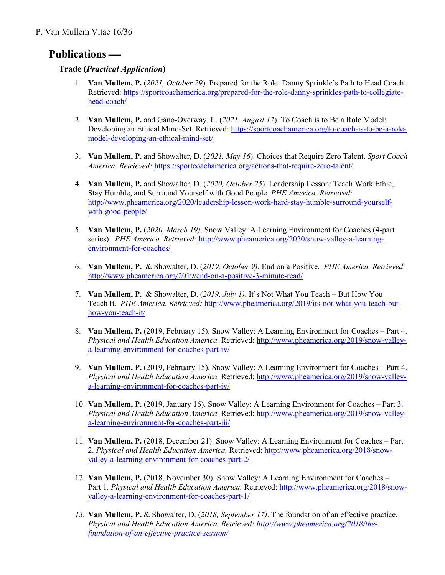# **Publications** —

### **Trade (***Practical Application***)**

- 1. **Van Mullem, P.** (*2021, October 29*). Prepared for the Role: Danny Sprinkle's Path to Head Coach. Retrieved: https://sportcoachamerica.org/prepared-for-the-role-danny-sprinkles-path-to-collegiatehead-coach/
- 2. **Van Mullem, P.** and Gano-Overway, L. (*2021, August 17*). To Coach is to Be a Role Model: Developing an Ethical Mind-Set. Retrieved: https://sportcoachamerica.org/to-coach-is-to-be-a-rolemodel-developing-an-ethical-mind-set/
- 3. **Van Mullem, P.** and Showalter, D. (*2021, May 16*). Choices that Require Zero Talent. *Sport Coach America. Retrieved:* https://sportcoachamerica.org/actions-that-require-zero-talent/
- 4. **Van Mullem, P.** and Showalter, D. (*2020, October 25*). Leadership Lesson: Teach Work Ethic, Stay Humble, and Surround Yourself with Good People. *PHE America. Retrieved:* http://www.pheamerica.org/2020/leadership-lesson-work-hard-stay-humble-surround-yourselfwith-good-people/
- 5. **Van Mullem, P.** (*2020, March 19)*. Snow Valley: A Learning Environment for Coaches (4-part series). *PHE America. Retrieved:* http://www.pheamerica.org/2020/snow-valley-a-learningenvironment-for-coaches/
- 6. **Van Mullem, P.** & Showalter, D. (*2019, October 9)*. End on a Positive. *PHE America. Retrieved:* http://www.pheamerica.org/2019/end-on-a-positive-3-minute-read/
- 7. **Van Mullem, P.** & Showalter, D. (*2019, July 1)*. It's Not What You Teach But How You Teach It. *PHE America. Retrieved:* http://www.pheamerica.org/2019/its-not-what-you-teach-buthow-you-teach-it/
- 8. **Van Mullem, P.** (2019, February 15). Snow Valley: A Learning Environment for Coaches Part 4. *Physical and Health Education America.* Retrieved: http://www.pheamerica.org/2019/snow-valleya-learning-environment-for-coaches-part-iv/
- 9. **Van Mullem, P.** (2019, February 15). Snow Valley: A Learning Environment for Coaches Part 4. *Physical and Health Education America.* Retrieved: http://www.pheamerica.org/2019/snow-valleya-learning-environment-for-coaches-part-iv/
- 10. **Van Mullem, P.** (2019, January 16). Snow Valley: A Learning Environment for Coaches Part 3. *Physical and Health Education America.* Retrieved: http://www.pheamerica.org/2019/snow-valleya-learning-environment-for-coaches-part-iii/
- 11. **Van Mullem, P.** (2018, December 21). Snow Valley: A Learning Environment for Coaches Part 2. *Physical and Health Education America.* Retrieved: http://www.pheamerica.org/2018/snowvalley-a-learning-environment-for-coaches-part-2/
- 12. **Van Mullem, P.** (2018, November 30). Snow Valley: A Learning Environment for Coaches Part 1. *Physical and Health Education America.* Retrieved: http://www.pheamerica.org/2018/snowvalley-a-learning-environment-for-coaches-part-1/
- *13.* **Van Mullem, P.** & Showalter, D. (*2018, September 17)*. The foundation of an effective practice. *Physical and Health Education America. Retrieved: http://www.pheamerica.org/2018/thefoundation-of-an-effective-practice-session/*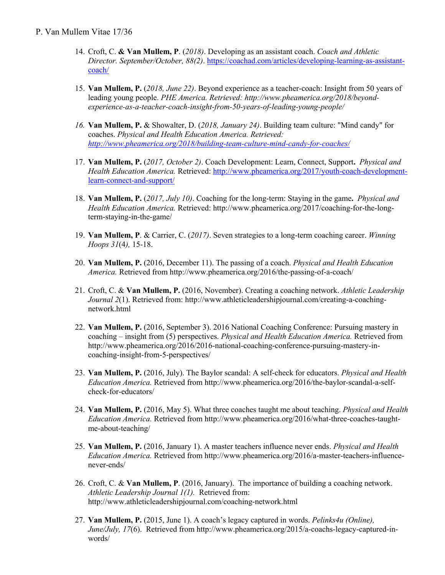- 14. Croft, C. **& Van Mullem, P**. (*2018)*. Developing as an assistant coach. *Coach and Athletic Director. September/October, 88(2)*. https://coachad.com/articles/developing-learning-as-assistantcoach/
- 15. **Van Mullem, P.** (*2018, June 22)*. Beyond experience as a teacher-coach: Insight from 50 years of leading young people. *PHE America. Retrieved: http://www.pheamerica.org/2018/beyondexperience-as-a-teacher-coach-insight-from-50-years-of-leading-young-people/*
- *16.* **Van Mullem, P.** & Showalter, D. (*2018, January 24)*. Building team culture: "Mind candy" for coaches. *Physical and Health Education America. Retrieved: http://www.pheamerica.org/2018/building-team-culture-mind-candy-for-coaches/*
- 17. **Van Mullem, P.** (*2017, October 2)*. Coach Development: Learn, Connect, Support**.** *Physical and Health Education America.* Retrieved: http://www.pheamerica.org/2017/youth-coach-developmentlearn-connect-and-support/
- 18. **Van Mullem, P.** (*2017, July 10)*. Coaching for the long-term: Staying in the game**.** *Physical and Health Education America.* Retrieved: http://www.pheamerica.org/2017/coaching-for-the-longterm-staying-in-the-game/
- 19. **Van Mullem, P**. & Carrier, C. (*2017)*. Seven strategies to a long-term coaching career. *Winning Hoops 31*(4*),* 15-18.
- 20. **Van Mullem, P.** (2016, December 11). The passing of a coach. *Physical and Health Education America.* Retrieved from http://www.pheamerica.org/2016/the-passing-of-a-coach/
- 21. Croft, C. & **Van Mullem, P.** (2016, November). Creating a coaching network. *Athletic Leadership Journal 2*(1). Retrieved from: http://www.athleticleadershipjournal.com/creating-a-coachingnetwork.html
- 22. **Van Mullem, P.** (2016, September 3). 2016 National Coaching Conference: Pursuing mastery in coaching – insight from (5) perspectives. *Physical and Health Education America.* Retrieved from http://www.pheamerica.org/2016/2016-national-coaching-conference-pursuing-mastery-incoaching-insight-from-5-perspectives/
- 23. **Van Mullem, P.** (2016, July). The Baylor scandal: A self-check for educators. *Physical and Health Education America.* Retrieved from http://www.pheamerica.org/2016/the-baylor-scandal-a-selfcheck-for-educators/
- 24. **Van Mullem, P.** (2016, May 5). What three coaches taught me about teaching. *Physical and Health Education America.* Retrieved from http://www.pheamerica.org/2016/what-three-coaches-taughtme-about-teaching/
- 25. **Van Mullem, P.** (2016, January 1). A master teachers influence never ends. *Physical and Health Education America.* Retrieved from http://www.pheamerica.org/2016/a-master-teachers-influencenever-ends/
- 26. Croft, C. & **Van Mullem, P**. (2016, January). The importance of building a coaching network. *Athletic Leadership Journal 1(1).* Retrieved from: http://www.athleticleadershipjournal.com/coaching-network.html
- 27. **Van Mullem, P.** (2015, June 1). A coach's legacy captured in words. *Pelinks4u (Online), June/July, 17*(6). Retrieved from http://www.pheamerica.org/2015/a-coachs-legacy-captured-inwords/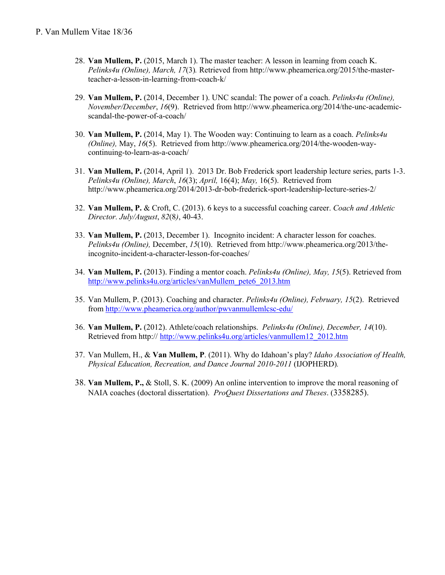- 28. **Van Mullem, P.** (2015, March 1). The master teacher: A lesson in learning from coach K. *Pelinks4u (Online), March, 17*(3)*.* Retrieved from http://www.pheamerica.org/2015/the-masterteacher-a-lesson-in-learning-from-coach-k/
- 29. **Van Mullem, P.** (2014, December 1). UNC scandal: The power of a coach. *Pelinks4u (Online), November/December*, *16*(9). Retrieved from http://www.pheamerica.org/2014/the-unc-academicscandal-the-power-of-a-coach/
- 30. **Van Mullem, P.** (2014, May 1). The Wooden way: Continuing to learn as a coach. *Pelinks4u (Online),* May, *16*(5). Retrieved from http://www.pheamerica.org/2014/the-wooden-waycontinuing-to-learn-as-a-coach/
- 31. **Van Mullem, P.** (2014, April 1). 2013 Dr. Bob Frederick sport leadership lecture series, parts 1-3. *Pelinks4u (Online), March*, *16*(3); *April,* 16(4); *May,* 16(5). Retrieved from http://www.pheamerica.org/2014/2013-dr-bob-frederick-sport-leadership-lecture-series-2/
- 32. **Van Mullem, P.** & Croft, C. (2013). 6 keys to a successful coaching career. *Coach and Athletic Director. July/August*, *82*(8*)*, 40-43.
- 33. **Van Mullem, P.** (2013, December 1). Incognito incident: A character lesson for coaches. *Pelinks4u (Online),* December, *15*(10). Retrieved from http://www.pheamerica.org/2013/theincognito-incident-a-character-lesson-for-coaches/
- 34. **Van Mullem, P.** (2013). Finding a mentor coach. *Pelinks4u (Online), May, 15*(5). Retrieved from http://www.pelinks4u.org/articles/vanMullem\_pete6\_2013.htm
- 35. Van Mullem, P. (2013). Coaching and character. *Pelinks4u (Online), February, 15*(2). Retrieved from http://www.pheamerica.org/author/pwvanmullemlcsc-edu/
- 36. **Van Mullem, P.** (2012). Athlete/coach relationships. *Pelinks4u (Online), December, 14*(10). Retrieved from http:// http://www.pelinks4u.org/articles/vanmullem12\_2012.htm
- 37. Van Mullem, H., & **Van Mullem, P**. (2011). Why do Idahoan's play? *Idaho Association of Health, Physical Education, Recreation, and Dance Journal 2010-2011* (IJOPHERD)*.*
- 38. **Van Mullem, P.,** & Stoll, S. K. (2009) An online intervention to improve the moral reasoning of NAIA coaches (doctoral dissertation). *ProQuest Dissertations and Theses*. (3358285).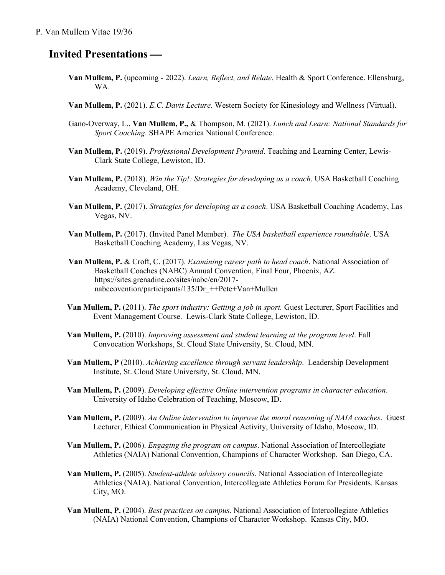# **Invited Presentations —**

- **Van Mullem, P.** (upcoming 2022). *Learn, Reflect, and Relate*. Health & Sport Conference. Ellensburg, WA.
- **Van Mullem, P.** (2021). *E.C. Davis Lecture*. Western Society for Kinesiology and Wellness (Virtual).
- Gano-Overway, L., **Van Mullem, P.,** & Thompson, M. (2021). *Lunch and Learn: National Standards for Sport Coaching*. SHAPE America National Conference.
- **Van Mullem, P.** (2019). *Professional Development Pyramid*. Teaching and Learning Center, Lewis-Clark State College, Lewiston, ID.
- **Van Mullem, P.** (2018). *Win the Tip!: Strategies for developing as a coach*. USA Basketball Coaching Academy, Cleveland, OH.
- **Van Mullem, P.** (2017). *Strategies for developing as a coach*. USA Basketball Coaching Academy, Las Vegas, NV.
- **Van Mullem, P.** (2017). (Invited Panel Member). *The USA basketball experience roundtable*. USA Basketball Coaching Academy, Las Vegas, NV.
- **Van Mullem, P.** & Croft, C. (2017). *Examining career path to head coach*. National Association of Basketball Coaches (NABC) Annual Convention, Final Four, Phoenix, AZ. https://sites.grenadine.co/sites/nabc/en/2017 nabccovention/participants/135/Dr\_++Pete+Van+Mullen
- **Van Mullem, P.** (2011). *The sport industry: Getting a job in sport.* Guest Lecturer, Sport Facilities and Event Management Course. Lewis-Clark State College, Lewiston, ID.
- **Van Mullem, P.** (2010). *Improving assessment and student learning at the program level*. Fall Convocation Workshops, St. Cloud State University, St. Cloud, MN.
- **Van Mullem, P** (2010). *Achieving excellence through servant leadership*. Leadership Development Institute, St. Cloud State University, St. Cloud, MN.
- **Van Mullem, P.** (2009). *Developing effective Online intervention programs in character education*. University of Idaho Celebration of Teaching, Moscow, ID.
- **Van Mullem, P.** (2009). *An Online intervention to improve the moral reasoning of NAIA coaches*. Guest Lecturer, Ethical Communication in Physical Activity, University of Idaho, Moscow, ID.
- **Van Mullem, P.** (2006). *Engaging the program on campus*. National Association of Intercollegiate Athletics (NAIA) National Convention, Champions of Character Workshop. San Diego, CA.
- **Van Mullem, P.** (2005). *Student-athlete advisory councils*. National Association of Intercollegiate Athletics (NAIA). National Convention, Intercollegiate Athletics Forum for Presidents. Kansas City, MO.
- **Van Mullem, P.** (2004). *Best practices on campus*. National Association of Intercollegiate Athletics (NAIA) National Convention, Champions of Character Workshop. Kansas City, MO.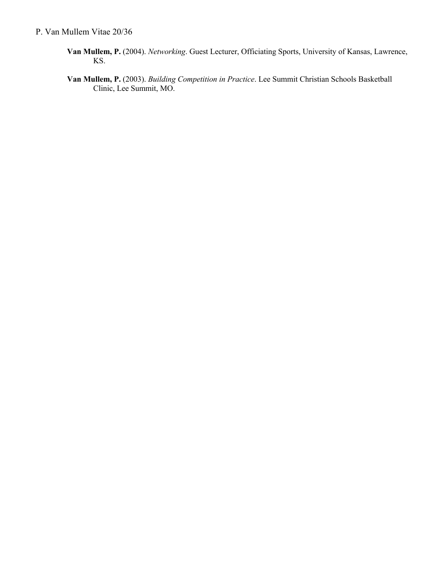- **Van Mullem, P.** (2004). *Networking*. Guest Lecturer, Officiating Sports, University of Kansas, Lawrence, KS.
- **Van Mullem, P.** (2003). *Building Competition in Practice*. Lee Summit Christian Schools Basketball Clinic, Lee Summit, MO.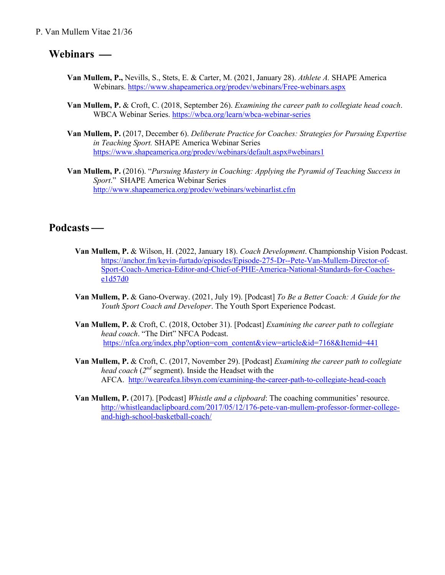#### P. Van Mullem Vitae 21/36

### Webinars —

- **Van Mullem, P.,** Nevills, S., Stets, E. & Carter, M. (2021, January 28). *Athlete A.* SHAPE America Webinars. https://www.shapeamerica.org/prodev/webinars/Free-webinars.aspx
- **Van Mullem, P.** & Croft, C. (2018, September 26). *Examining the career path to collegiate head coach*. WBCA Webinar Series. https://wbca.org/learn/wbca-webinar-series
- **Van Mullem, P.** (2017, December 6). *Deliberate Practice for Coaches: Strategies for Pursuing Expertise in Teaching Sport.* SHAPE America Webinar Series https://www.shapeamerica.org/prodev/webinars/default.aspx#webinars1
- **Van Mullem, P.** (2016). "*Pursuing Mastery in Coaching: Applying the Pyramid of Teaching Success in Sport*." SHAPE America Webinar Series http://www.shapeamerica.org/prodev/webinars/webinarlist.cfm

### Podcasts —

- **Van Mullem, P.** & Wilson, H. (2022, January 18). *Coach Development*. Championship Vision Podcast. https://anchor.fm/kevin-furtado/episodes/Episode-275-Dr--Pete-Van-Mullem-Director-of-Sport-Coach-America-Editor-and-Chief-of-PHE-America-National-Standards-for-Coachese1d57d0
- **Van Mullem, P.** & Gano-Overway. (2021, July 19). [Podcast] *To Be a Better Coach: A Guide for the Youth Sport Coach and Developer*. The Youth Sport Experience Podcast.
- **Van Mullem, P.** & Croft, C. (2018, October 31). [Podcast] *Examining the career path to collegiate head coach*. "The Dirt" NFCA Podcast. https://nfca.org/index.php?option=com\_content&view=article&id=7168&Itemid=441
- **Van Mullem, P.** & Croft, C. (2017, November 29). [Podcast] *Examining the career path to collegiate head coach* (*2nd* segment). Inside the Headset with the AFCA. http://weareafca.libsyn.com/examining-the-career-path-to-collegiate-head-coach
- **Van Mullem, P.** (2017). [Podcast] *Whistle and a clipboard*: The coaching communities' resource. http://whistleandaclipboard.com/2017/05/12/176-pete-van-mullem-professor-former-collegeand-high-school-basketball-coach/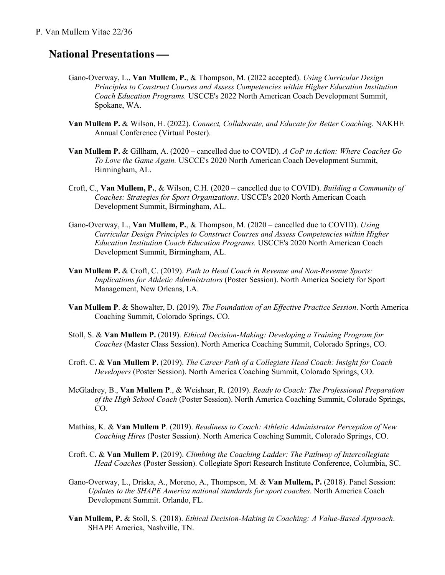#### P. Van Mullem Vitae 22/36

## **National Presentations —**

- Gano-Overway, L., **Van Mullem, P.**, & Thompson, M. (2022 accepted). *Using Curricular Design Principles to Construct Courses and Assess Competencies within Higher Education Institution Coach Education Programs.* USCCE's 2022 North American Coach Development Summit, Spokane, WA.
- **Van Mullem P.** & Wilson, H. (2022). *Connect, Collaborate, and Educate for Better Coaching.* NAKHE Annual Conference (Virtual Poster).
- **Van Mullem P.** & Gillham, A. (2020 cancelled due to COVID). *A CoP in Action: Where Coaches Go To Love the Game Again.* USCCE's 2020 North American Coach Development Summit, Birmingham, AL.
- Croft, C., **Van Mullem, P.**, & Wilson, C.H. (2020 cancelled due to COVID). *Building a Community of Coaches: Strategies for Sport Organizations*. USCCE's 2020 North American Coach Development Summit, Birmingham, AL.
- Gano-Overway, L., **Van Mullem, P.**, & Thompson, M. (2020 cancelled due to COVID). *Using Curricular Design Principles to Construct Courses and Assess Competencies within Higher Education Institution Coach Education Programs.* USCCE's 2020 North American Coach Development Summit, Birmingham, AL.
- **Van Mullem P.** & Croft, C. (2019). *Path to Head Coach in Revenue and Non-Revenue Sports: Implications for Athletic Administrators* (Poster Session). North America Society for Sport Management, New Orleans, LA.
- **Van Mullem P**. & Showalter, D. (2019). *The Foundation of an Effective Practice Session*. North America Coaching Summit, Colorado Springs, CO.
- Stoll, S. & **Van Mullem P.** (2019). *Ethical Decision-Making: Developing a Training Program for Coaches* (Master Class Session). North America Coaching Summit, Colorado Springs, CO.
- Croft. C. & **Van Mullem P.** (2019). *The Career Path of a Collegiate Head Coach: Insight for Coach Developers* (Poster Session). North America Coaching Summit, Colorado Springs, CO.
- McGladrey, B., **Van Mullem P**., & Weishaar, R. (2019). *Ready to Coach: The Professional Preparation of the High School Coach* (Poster Session). North America Coaching Summit, Colorado Springs, CO.
- Mathias, K. & **Van Mullem P**. (2019). *Readiness to Coach: Athletic Administrator Perception of New Coaching Hires* (Poster Session). North America Coaching Summit, Colorado Springs, CO.
- Croft. C. & **Van Mullem P.** (2019). *Climbing the Coaching Ladder: The Pathway of Intercollegiate Head Coaches* (Poster Session). Collegiate Sport Research Institute Conference, Columbia, SC.
- Gano-Overway, L., Driska, A., Moreno, A., Thompson, M. & **Van Mullem, P.** (2018). Panel Session: *Updates to the SHAPE America national standards for sport coaches*. North America Coach Development Summit. Orlando, FL.
- **Van Mullem, P.** & Stoll, S. (2018). *Ethical Decision-Making in Coaching: A Value-Based Approach*. SHAPE America, Nashville, TN.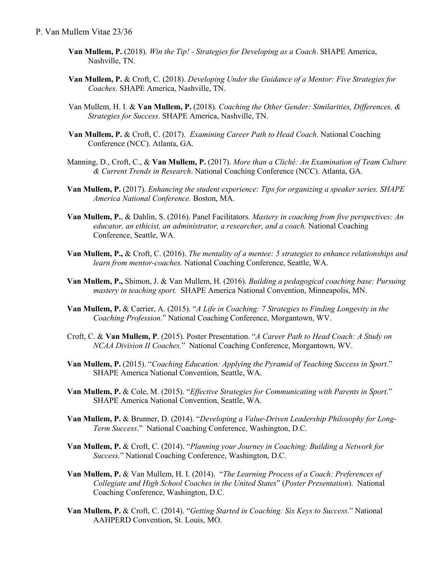- **Van Mullem, P.** (2018). *Win the Tip! - Strategies for Developing as a Coach*. SHAPE America, Nashville, TN.
- **Van Mullem, P.** & Croft, C. (2018). *Developing Under the Guidance of a Mentor: Five Strategies for Coaches*. SHAPE America, Nashville, TN.
- Van Mullem, H. I. & **Van Mullem, P.** (2018). *Coaching the Other Gender: Similarities, Differences, & Strategies for Success*. SHAPE America, Nashville, TN.
- **Van Mullem, P.** & Croft, C. (2017). *Examining Career Path to Head Coach*. National Coaching Conference (NCC). Atlanta, GA.
- Manning, D., Croft, C., & **Van Mullem, P.** (2017). *More than a Cliché: An Examination of Team Culture & Current Trends in Research*. National Coaching Conference (NCC). Atlanta, GA.
- **Van Mullem, P.** (2017). *Enhancing the student experience: Tips for organizing a speaker series. SHAPE America National Conference.* Boston, MA.
- **Van Mullem, P.**, & Dahlin, S. (2016). Panel Facilitators. *Mastery in coaching from five perspectives: An educator, an ethicist, an administrator, a researcher, and a coach.* National Coaching Conference, Seattle, WA.
- **Van Mullem, P.,** & Croft, C. (2016). *The mentality of a mentee: 5 strategies to enhance relationships and learn from mentor-coaches.* National Coaching Conference, Seattle, WA.
- **Van Mullem, P.,** Shimon, J. & Van Mullem, H. (2016). *Building a pedagogical coaching base: Pursuing mastery in teaching sport.* SHAPE America National Convention, Minneapolis, MN.
- **Van Mullem, P.** & Carrier, A. (2015). "*A Life in Coaching: 7 Strategies to Finding Longevity in the Coaching Profession*." National Coaching Conference, Morgantown, WV.
- Croft, C. & **Van Mullem, P**. (2015). Poster Presentation. "*A Career Path to Head Coach: A Study on NCAA Division II Coaches.*" National Coaching Conference, Morgantown, WV.
- **Van Mullem, P.** (2015). "*Coaching Education: Applying the Pyramid of Teaching Success in Sport*." SHAPE America National Convention, Seattle, WA.
- **Van Mullem, P.** & Cole, M. (2015). "*Effective Strategies for Communicating with Parents in Sport*." SHAPE America National Convention, Seattle, WA.
- **Van Mullem, P.** & Brunner, D. (2014). "*Developing a Value-Driven Leadership Philosophy for Long-Term Success*." National Coaching Conference, Washington, D.C.
- **Van Mullem, P.** & Croft, C. (2014). "*Planning your Journey in Coaching: Building a Network for Success*." National Coaching Conference, Washington, D.C.
- **Van Mullem, P.** & Van Mullem, H. I. (2014). "*The Learning Process of a Coach: Preferences of Collegiate and High School Coaches in the United States*" (*Poster Presentation*). National Coaching Conference, Washington, D.C.
- **Van Mullem, P.** & Croft, C. (2014). "*Getting Started in Coaching: Six Keys to Success*." National AAHPERD Convention, St. Louis, MO.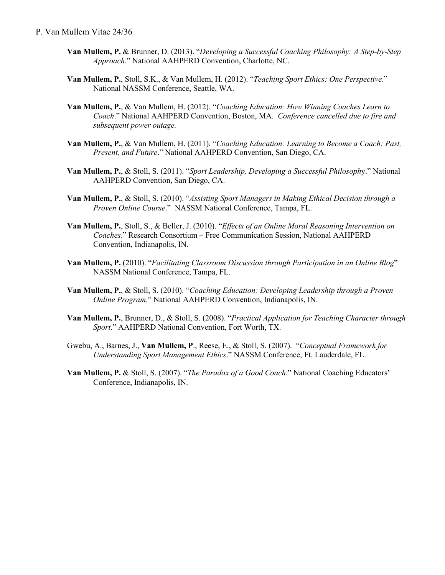#### P. Van Mullem Vitae 24/36

- **Van Mullem, P.** & Brunner, D. (2013). "*Developing a Successful Coaching Philosophy: A Step-by-Step Approach*." National AAHPERD Convention, Charlotte, NC.
- **Van Mullem, P.**, Stoll, S.K., & Van Mullem, H. (2012). "*Teaching Sport Ethics: One Perspective*." National NASSM Conference, Seattle, WA.
- **Van Mullem, P.**, & Van Mullem, H. (2012). "*Coaching Education: How Winning Coaches Learn to Coach*." National AAHPERD Convention, Boston, MA. *Conference cancelled due to fire and subsequent power outage.*
- **Van Mullem, P.**, & Van Mullem, H. (2011). "*Coaching Education: Learning to Become a Coach: Past, Present, and Future*." National AAHPERD Convention, San Diego, CA.
- **Van Mullem, P.**, & Stoll, S. (2011). "*Sport Leadership, Developing a Successful Philosoph*y." National AAHPERD Convention, San Diego, CA.
- **Van Mullem, P.**, & Stoll, S. (2010). "*Assisting Sport Managers in Making Ethical Decision through a Proven Online Course*." NASSM National Conference, Tampa, FL.
- **Van Mullem, P.**, Stoll, S., & Beller, J. (2010). "*Effects of an Online Moral Reasoning Intervention on Coaches*." Research Consortium – Free Communication Session, National AAHPERD Convention, Indianapolis, IN.
- **Van Mullem, P.** (2010). "*Facilitating Classroom Discussion through Participation in an Online Blog*" NASSM National Conference, Tampa, FL.
- **Van Mullem, P.**, & Stoll, S. (2010). "*Coaching Education: Developing Leadership through a Proven Online Program*." National AAHPERD Convention, Indianapolis, IN.
- **Van Mullem, P.**, Brunner, D., & Stoll, S. (2008). "*Practical Application for Teaching Character through Sport*." AAHPERD National Convention, Fort Worth, TX.
- Gwebu, A., Barnes, J., **Van Mullem, P**., Reese, E., & Stoll, S. (2007). "*Conceptual Framework for Understanding Sport Management Ethics*." NASSM Conference, Ft. Lauderdale, FL.
- **Van Mullem, P.** & Stoll, S. (2007). "*The Paradox of a Good Coach*." National Coaching Educators' Conference, Indianapolis, IN.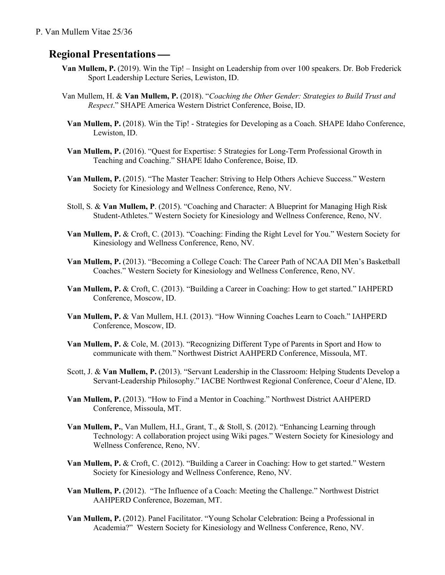#### P. Van Mullem Vitae 25/36

# **Regional Presentations —**

- **Van Mullem, P.** (2019). Win the Tip! Insight on Leadership from over 100 speakers. Dr. Bob Frederick Sport Leadership Lecture Series, Lewiston, ID.
- Van Mullem, H. & **Van Mullem, P.** (2018). "*Coaching the Other Gender: Strategies to Build Trust and Respect*." SHAPE America Western District Conference, Boise, ID.
- **Van Mullem, P.** (2018). Win the Tip! Strategies for Developing as a Coach. SHAPE Idaho Conference, Lewiston, ID.
- **Van Mullem, P.** (2016). "Quest for Expertise: 5 Strategies for Long-Term Professional Growth in Teaching and Coaching." SHAPE Idaho Conference, Boise, ID.
- **Van Mullem, P.** (2015). "The Master Teacher: Striving to Help Others Achieve Success." Western Society for Kinesiology and Wellness Conference, Reno, NV.
- Stoll, S. & **Van Mullem, P**. (2015). "Coaching and Character: A Blueprint for Managing High Risk Student-Athletes." Western Society for Kinesiology and Wellness Conference, Reno, NV.
- **Van Mullem, P.** & Croft, C. (2013). "Coaching: Finding the Right Level for You." Western Society for Kinesiology and Wellness Conference, Reno, NV.
- **Van Mullem, P.** (2013). "Becoming a College Coach: The Career Path of NCAA DII Men's Basketball Coaches." Western Society for Kinesiology and Wellness Conference, Reno, NV.
- **Van Mullem, P.** & Croft, C. (2013). "Building a Career in Coaching: How to get started." IAHPERD Conference, Moscow, ID.
- **Van Mullem, P.** & Van Mullem, H.I. (2013). "How Winning Coaches Learn to Coach." IAHPERD Conference, Moscow, ID.
- **Van Mullem, P.** & Cole, M. (2013). "Recognizing Different Type of Parents in Sport and How to communicate with them." Northwest District AAHPERD Conference, Missoula, MT.
- Scott, J. & **Van Mullem, P.** (2013). "Servant Leadership in the Classroom: Helping Students Develop a Servant-Leadership Philosophy." IACBE Northwest Regional Conference, Coeur d'Alene, ID.
- **Van Mullem, P.** (2013). "How to Find a Mentor in Coaching." Northwest District AAHPERD Conference, Missoula, MT.
- **Van Mullem, P.**, Van Mullem, H.I., Grant, T., & Stoll, S. (2012). "Enhancing Learning through Technology: A collaboration project using Wiki pages." Western Society for Kinesiology and Wellness Conference, Reno, NV.
- **Van Mullem, P.** & Croft, C. (2012). "Building a Career in Coaching: How to get started." Western Society for Kinesiology and Wellness Conference, Reno, NV.
- **Van Mullem, P.** (2012). "The Influence of a Coach: Meeting the Challenge." Northwest District AAHPERD Conference, Bozeman, MT.
- **Van Mullem, P.** (2012). Panel Facilitator. "Young Scholar Celebration: Being a Professional in Academia?" Western Society for Kinesiology and Wellness Conference, Reno, NV.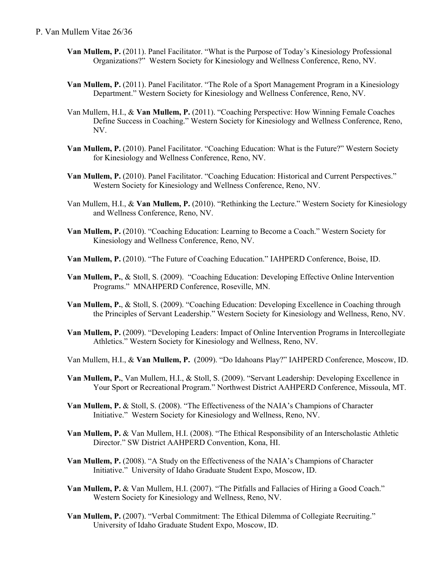#### P. Van Mullem Vitae 26/36

- **Van Mullem, P.** (2011). Panel Facilitator. "What is the Purpose of Today's Kinesiology Professional Organizations?" Western Society for Kinesiology and Wellness Conference, Reno, NV.
- **Van Mullem, P.** (2011). Panel Facilitator. "The Role of a Sport Management Program in a Kinesiology Department." Western Society for Kinesiology and Wellness Conference, Reno, NV.
- Van Mullem, H.I., & **Van Mullem, P.** (2011). "Coaching Perspective: How Winning Female Coaches Define Success in Coaching." Western Society for Kinesiology and Wellness Conference, Reno, NV.
- **Van Mullem, P.** (2010). Panel Facilitator. "Coaching Education: What is the Future?" Western Society for Kinesiology and Wellness Conference, Reno, NV.
- **Van Mullem, P.** (2010). Panel Facilitator. "Coaching Education: Historical and Current Perspectives." Western Society for Kinesiology and Wellness Conference, Reno, NV.
- Van Mullem, H.I., & **Van Mullem, P.** (2010). "Rethinking the Lecture." Western Society for Kinesiology and Wellness Conference, Reno, NV.
- **Van Mullem, P.** (2010). "Coaching Education: Learning to Become a Coach." Western Society for Kinesiology and Wellness Conference, Reno, NV.
- **Van Mullem, P.** (2010). "The Future of Coaching Education." IAHPERD Conference, Boise, ID.
- **Van Mullem, P.**, & Stoll, S. (2009). "Coaching Education: Developing Effective Online Intervention Programs." MNAHPERD Conference, Roseville, MN.
- **Van Mullem, P.**, & Stoll, S. (2009). "Coaching Education: Developing Excellence in Coaching through the Principles of Servant Leadership." Western Society for Kinesiology and Wellness, Reno, NV.
- **Van Mullem, P.** (2009). "Developing Leaders: Impact of Online Intervention Programs in Intercollegiate Athletics." Western Society for Kinesiology and Wellness, Reno, NV.
- Van Mullem, H.I., & **Van Mullem, P.** (2009). "Do Idahoans Play?" IAHPERD Conference, Moscow, ID.
- **Van Mullem, P.**, Van Mullem, H.I., & Stoll, S. (2009). "Servant Leadership: Developing Excellence in Your Sport or Recreational Program." Northwest District AAHPERD Conference, Missoula, MT.
- **Van Mullem, P.** & Stoll, S. (2008). "The Effectiveness of the NAIA's Champions of Character Initiative." Western Society for Kinesiology and Wellness, Reno, NV.
- **Van Mullem, P.** & Van Mullem, H.I. (2008). "The Ethical Responsibility of an Interscholastic Athletic Director." SW District AAHPERD Convention, Kona, HI.
- **Van Mullem, P.** (2008). "A Study on the Effectiveness of the NAIA's Champions of Character Initiative." University of Idaho Graduate Student Expo, Moscow, ID.
- **Van Mullem, P.** & Van Mullem, H.I. (2007). "The Pitfalls and Fallacies of Hiring a Good Coach." Western Society for Kinesiology and Wellness, Reno, NV.
- **Van Mullem, P.** (2007). "Verbal Commitment: The Ethical Dilemma of Collegiate Recruiting." University of Idaho Graduate Student Expo, Moscow, ID.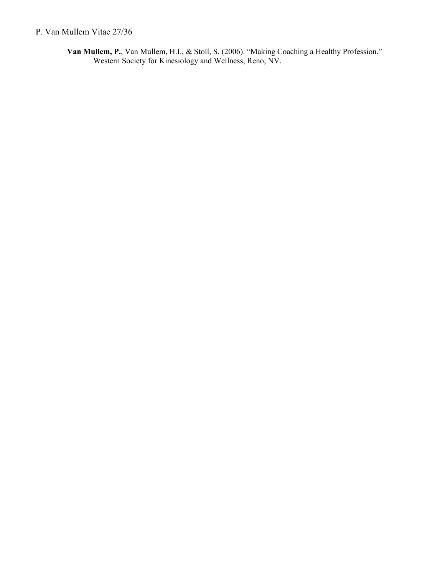### P. Van Mullem Vitae 27/36

**Van Mullem, P.**, Van Mullem, H.I., & Stoll, S. (2006). "Making Coaching a Healthy Profession." Western Society for Kinesiology and Wellness, Reno, NV.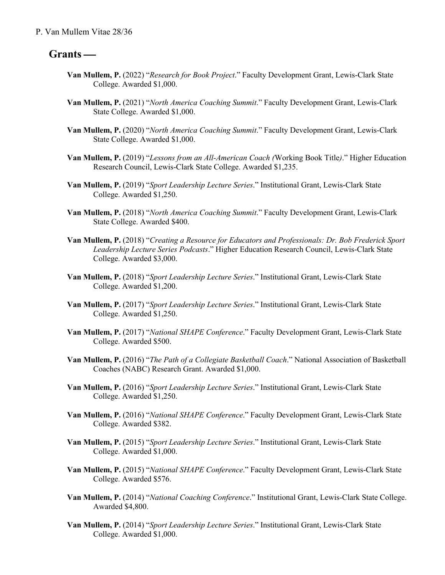## Grants —

- **Van Mullem, P.** (2022) "*Research for Book Project*." Faculty Development Grant, Lewis-Clark State College. Awarded \$1,000.
- **Van Mullem, P.** (2021) "*North America Coaching Summit*." Faculty Development Grant, Lewis-Clark State College. Awarded \$1,000.
- **Van Mullem, P.** (2020) "*North America Coaching Summit*." Faculty Development Grant, Lewis-Clark State College. Awarded \$1,000.
- **Van Mullem, P.** (2019) "*Lessons from an All-American Coach (*Working Book Title*)*." Higher Education Research Council, Lewis-Clark State College. Awarded \$1,235.
- **Van Mullem, P.** (2019) "*Sport Leadership Lecture Series*." Institutional Grant, Lewis-Clark State College. Awarded \$1,250.
- **Van Mullem, P.** (2018) "*North America Coaching Summit*." Faculty Development Grant, Lewis-Clark State College. Awarded \$400.
- **Van Mullem, P.** (2018) "*Creating a Resource for Educators and Professionals: Dr. Bob Frederick Sport Leadership Lecture Series Podcasts*." Higher Education Research Council, Lewis-Clark State College. Awarded \$3,000.
- **Van Mullem, P.** (2018) "*Sport Leadership Lecture Series*." Institutional Grant, Lewis-Clark State College. Awarded \$1,200.
- **Van Mullem, P.** (2017) "*Sport Leadership Lecture Series*." Institutional Grant, Lewis-Clark State College. Awarded \$1,250.
- **Van Mullem, P.** (2017) "*National SHAPE Conference*." Faculty Development Grant, Lewis-Clark State College. Awarded \$500.
- **Van Mullem, P.** (2016) "*The Path of a Collegiate Basketball Coach*." National Association of Basketball Coaches (NABC) Research Grant. Awarded \$1,000.
- **Van Mullem, P.** (2016) "*Sport Leadership Lecture Series*." Institutional Grant, Lewis-Clark State College. Awarded \$1,250.
- **Van Mullem, P.** (2016) "*National SHAPE Conference*." Faculty Development Grant, Lewis-Clark State College. Awarded \$382.
- **Van Mullem, P.** (2015) "*Sport Leadership Lecture Series*." Institutional Grant, Lewis-Clark State College. Awarded \$1,000.
- **Van Mullem, P.** (2015) "*National SHAPE Conference*." Faculty Development Grant, Lewis-Clark State College. Awarded \$576.
- **Van Mullem, P.** (2014) "*National Coaching Conference*." Institutional Grant, Lewis-Clark State College. Awarded \$4,800.
- **Van Mullem, P.** (2014) "*Sport Leadership Lecture Series*." Institutional Grant, Lewis-Clark State College. Awarded \$1,000.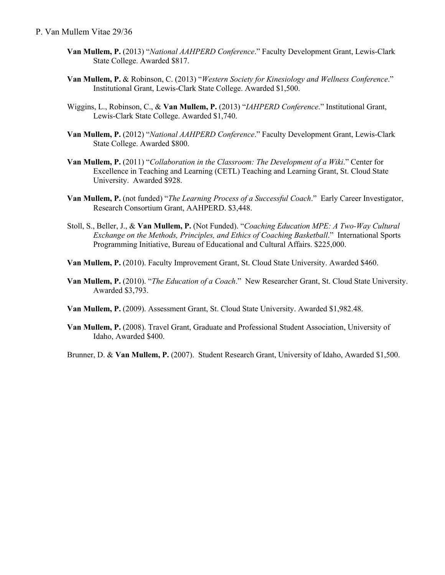- **Van Mullem, P.** (2013) "*National AAHPERD Conference*." Faculty Development Grant, Lewis-Clark State College. Awarded \$817.
- **Van Mullem, P.** & Robinson, C. (2013) "*Western Society for Kinesiology and Wellness Conference*." Institutional Grant, Lewis-Clark State College. Awarded \$1,500.
- Wiggins, L., Robinson, C., & **Van Mullem, P.** (2013) "*IAHPERD Conference*." Institutional Grant, Lewis-Clark State College. Awarded \$1,740.
- **Van Mullem, P.** (2012) "*National AAHPERD Conference*." Faculty Development Grant, Lewis-Clark State College. Awarded \$800.
- **Van Mullem, P.** (2011) "*Collaboration in the Classroom: The Development of a Wiki*." Center for Excellence in Teaching and Learning (CETL) Teaching and Learning Grant, St. Cloud State University. Awarded \$928.
- **Van Mullem, P.** (not funded) "*The Learning Process of a Successful Coach*." Early Career Investigator, Research Consortium Grant, AAHPERD. \$3,448.
- Stoll, S., Beller, J., & **Van Mullem, P.** (Not Funded). "*Coaching Education MPE: A Two-Way Cultural Exchange on the Methods, Principles, and Ethics of Coaching Basketball*." International Sports Programming Initiative, Bureau of Educational and Cultural Affairs. \$225,000.
- **Van Mullem, P.** (2010). Faculty Improvement Grant, St. Cloud State University. Awarded \$460.
- **Van Mullem, P.** (2010). "*The Education of a Coach*." New Researcher Grant, St. Cloud State University. Awarded \$3,793.
- **Van Mullem, P.** (2009). Assessment Grant, St. Cloud State University. Awarded \$1,982.48.
- **Van Mullem, P.** (2008). Travel Grant, Graduate and Professional Student Association, University of Idaho, Awarded \$400.

Brunner, D. & **Van Mullem, P.** (2007). Student Research Grant, University of Idaho, Awarded \$1,500.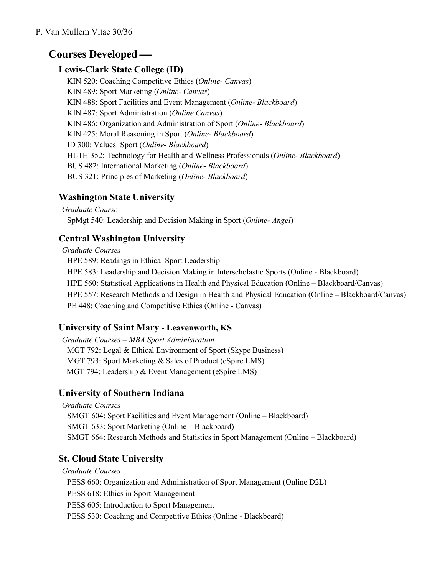# **Courses Developed —**

## **Lewis-Clark State College (ID)**

KIN 520: Coaching Competitive Ethics (*Online- Canvas*) KIN 489: Sport Marketing (*Online- Canvas*) KIN 488: Sport Facilities and Event Management (*Online- Blackboard*) KIN 487: Sport Administration (*Online Canvas*) KIN 486: Organization and Administration of Sport (*Online- Blackboard*) KIN 425: Moral Reasoning in Sport (*Online- Blackboard*) ID 300: Values: Sport (*Online- Blackboard*) HLTH 352: Technology for Health and Wellness Professionals (*Online- Blackboard*) BUS 482: International Marketing (*Online- Blackboard*) BUS 321: Principles of Marketing (*Online- Blackboard*)

## **Washington State University**

*Graduate Course* SpMgt 540: Leadership and Decision Making in Sport (*Online- Angel*)

## **Central Washington University**

*Graduate Courses* HPE 589: Readings in Ethical Sport Leadership HPE 583: Leadership and Decision Making in Interscholastic Sports (Online - Blackboard) HPE 560: Statistical Applications in Health and Physical Education (Online – Blackboard/Canvas) HPE 557: Research Methods and Design in Health and Physical Education (Online – Blackboard/Canvas) PE 448: Coaching and Competitive Ethics (Online - Canvas)

# **University of Saint Mary - Leavenworth, KS**

*Graduate Courses – MBA Sport Administration* MGT 792: Legal & Ethical Environment of Sport (Skype Business) MGT 793: Sport Marketing & Sales of Product (eSpire LMS) MGT 794: Leadership & Event Management (eSpire LMS)

# **University of Southern Indiana**

*Graduate Courses* SMGT 604: Sport Facilities and Event Management (Online – Blackboard) SMGT 633: Sport Marketing (Online – Blackboard) SMGT 664: Research Methods and Statistics in Sport Management (Online – Blackboard)

# **St. Cloud State University**

*Graduate Courses* PESS 660: Organization and Administration of Sport Management (Online D2L) PESS 618: Ethics in Sport Management PESS 605: Introduction to Sport Management PESS 530: Coaching and Competitive Ethics (Online - Blackboard)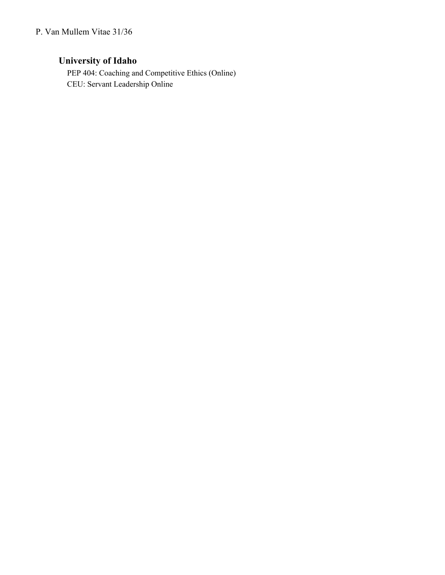## **University of Idaho**

PEP 404: Coaching and Competitive Ethics (Online) CEU: Servant Leadership Online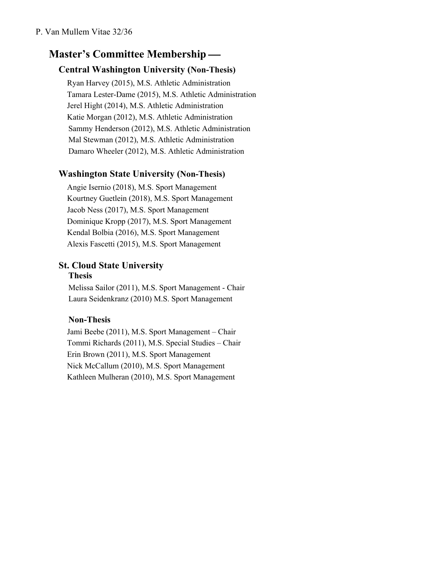# **Master's Committee Membership —**

## **Central Washington University (Non-Thesis)**

Ryan Harvey (2015), M.S. Athletic Administration Tamara Lester-Dame (2015), M.S. Athletic Administration Jerel Hight (2014), M.S. Athletic Administration Katie Morgan (2012), M.S. Athletic Administration Sammy Henderson (2012), M.S. Athletic Administration Mal Stewman (2012), M.S. Athletic Administration Damaro Wheeler (2012), M.S. Athletic Administration

## **Washington State University (Non-Thesis)**

Angie Isernio (2018), M.S. Sport Management Kourtney Guetlein (2018), M.S. Sport Management Jacob Ness (2017), M.S. Sport Management Dominique Kropp (2017), M.S. Sport Management Kendal Bolbia (2016), M.S. Sport Management Alexis Fascetti (2015), M.S. Sport Management

#### **St. Cloud State University Thesis**

Melissa Sailor (2011), M.S. Sport Management - Chair Laura Seidenkranz (2010) M.S. Sport Management

### **Non-Thesis**

Jami Beebe (2011), M.S. Sport Management – Chair Tommi Richards (2011), M.S. Special Studies – Chair Erin Brown (2011), M.S. Sport Management Nick McCallum (2010), M.S. Sport Management Kathleen Mulheran (2010), M.S. Sport Management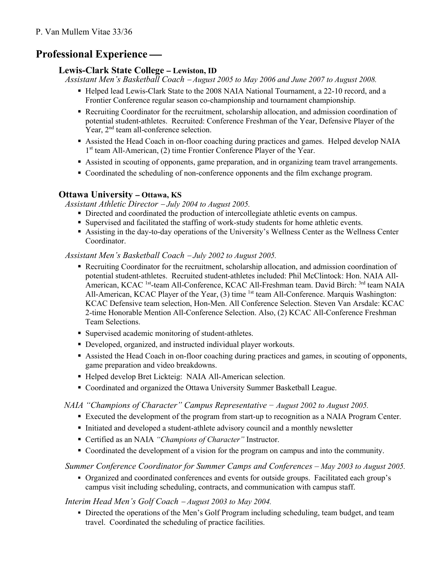# **Professional Experience —**

### **Lewis-Clark State College** - **Lewiston, ID**

*Assistant Men's Basketball Coach* - *August 2005 to May 2006 and June 2007 to August 2008.*

- § Helped lead Lewis-Clark State to the 2008 NAIA National Tournament, a 22-10 record, and a Frontier Conference regular season co-championship and tournament championship.
- Recruiting Coordinator for the recruitment, scholarship allocation, and admission coordination of potential student-athletes. Recruited: Conference Freshman of the Year, Defensive Player of the Year,  $2<sup>nd</sup>$  team all-conference selection.
- Assisted the Head Coach in on-floor coaching during practices and games. Helped develop NAIA  $1<sup>st</sup>$  team All-American, (2) time Frontier Conference Player of the Year.
- § Assisted in scouting of opponents, game preparation, and in organizing team travel arrangements.
- § Coordinated the scheduling of non-conference opponents and the film exchange program.

### **Ottawa University** - **Ottawa, KS**

*Assistant Athletic Director* - *July 2004 to August 2005.*

- § Directed and coordinated the production of intercollegiate athletic events on campus.
- § Supervised and facilitated the staffing of work-study students for home athletic events.
- Assisting in the day-to-day operations of the University's Wellness Center as the Wellness Center Coordinator.

### *Assistant Men's Basketball Coach* - *July 2002 to August 2005.*

- Recruiting Coordinator for the recruitment, scholarship allocation, and admission coordination of potential student-athletes. Recruited student-athletes included: Phil McClintock: Hon. NAIA All-American, KCAC <sup>1st</sup>-team All-Conference, KCAC All-Freshman team. David Birch: <sup>3rd</sup> team NAIA All-American, KCAC Player of the Year,  $(3)$  time <sup>1st</sup> team All-Conference. Marquis Washington: KCAC Defensive team selection, Hon-Men. All Conference Selection. Steven Van Arsdale: KCAC 2-time Honorable Mention All-Conference Selection. Also, (2) KCAC All-Conference Freshman Team Selections.
- Supervised academic monitoring of student-athletes.
- Developed, organized, and instructed individual player workouts.
- § Assisted the Head Coach in on-floor coaching during practices and games, in scouting of opponents, game preparation and video breakdowns.
- Helped develop Bret Lickteig: NAIA All-American selection.
- Coordinated and organized the Ottawa University Summer Basketball League.

### *NAIA "Champions of Character" Campus Representative − August 2002 to August 2005.*

- § Executed the development of the program from start-up to recognition as a NAIA Program Center.
- § Initiated and developed a student-athlete advisory council and a monthly newsletter
- Certified as an NAIA *"Champions of Character"* Instructor.
- Coordinated the development of a vision for the program on campus and into the community.

### *Summer Conference Coordinator for Summer Camps and Conferences – May 2003 to August 2005.*

§ Organized and coordinated conferences and events for outside groups. Facilitated each group's campus visit including scheduling, contracts, and communication with campus staff.

### *Interim Head Men's Golf Coach* - *August 2003 to May 2004.*

• Directed the operations of the Men's Golf Program including scheduling, team budget, and team travel. Coordinated the scheduling of practice facilities.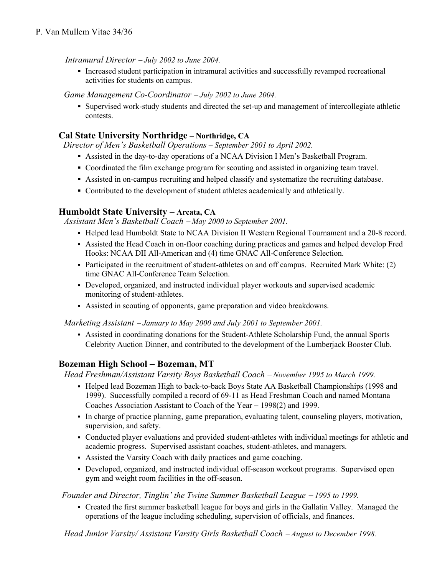#### *Intramural Director* - *July 2002 to June 2004.*

■ Increased student participation in intramural activities and successfully revamped recreational activities for students on campus.

*Game Management Co-Coordinator* - *July 2002 to June 2004.*

§ Supervised work-study students and directed the set-up and management of intercollegiate athletic contests.

### **Cal State University Northridge – Northridge, CA**

*Director of Men's Basketball Operations – September 2001 to April 2002.*

- Assisted in the day-to-day operations of a NCAA Division I Men's Basketball Program.
- Coordinated the film exchange program for scouting and assisted in organizing team travel.
- § Assisted in on-campus recruiting and helped classify and systematize the recruiting database.
- § Contributed to the development of student athletes academically and athletically.

#### **Humboldt State University** - **Arcata, CA**

*Assistant Men's Basketball Coach* - *May 2000 to September 2001.*

- § Helped lead Humboldt State to NCAA Division II Western Regional Tournament and a 20-8 record.
- § Assisted the Head Coach in on-floor coaching during practices and games and helped develop Fred Hooks: NCAA DII All-American and (4) time GNAC All-Conference Selection.
- Participated in the recruitment of student-athletes on and off campus. Recruited Mark White: (2) time GNAC All-Conference Team Selection.
- § Developed, organized, and instructed individual player workouts and supervised academic monitoring of student-athletes.
- § Assisted in scouting of opponents, game preparation and video breakdowns.

*Marketing Assistant* - *January to May 2000 and July 2001 to September 2001.*

§ Assisted in coordinating donations for the Student-Athlete Scholarship Fund, the annual Sports Celebrity Auction Dinner, and contributed to the development of the Lumberjack Booster Club.

### **Bozeman High School** - **Bozeman, MT**

*Head Freshman/Assistant Varsity Boys Basketball Coach* - *November 1995 to March 1999.*

- § Helped lead Bozeman High to back-to-back Boys State AA Basketball Championships (1998 and 1999). Successfully compiled a record of 69-11 as Head Freshman Coach and named Montana Coaches Association Assistant to Coach of the Year – 1998(2) and 1999.
- § In charge of practice planning, game preparation, evaluating talent, counseling players, motivation, supervision, and safety.
- § Conducted player evaluations and provided student-athletes with individual meetings for athletic and academic progress. Supervised assistant coaches, student-athletes, and managers.
- § Assisted the Varsity Coach with daily practices and game coaching.
- Developed, organized, and instructed individual off-season workout programs. Supervised open gym and weight room facilities in the off-season.

#### *Founder and Director, Tinglin' the Twine Summer Basketball League* - *1995 to 1999.*

§ Created the first summer basketball league for boys and girls in the Gallatin Valley. Managed the operations of the league including scheduling, supervision of officials, and finances.

*Head Junior Varsity/ Assistant Varsity Girls Basketball Coach - August to December 1998.*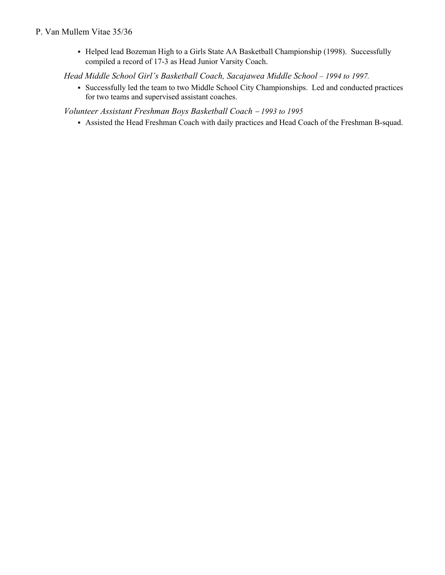#### P. Van Mullem Vitae 35/36

§ Helped lead Bozeman High to a Girls State AA Basketball Championship (1998). Successfully compiled a record of 17-3 as Head Junior Varsity Coach.

*Head Middle School Girl's Basketball Coach, Sacajawea Middle School – 1994 to 1997.*

§ Successfully led the team to two Middle School City Championships. Led and conducted practices for two teams and supervised assistant coaches.

*Volunteer Assistant Freshman Boys Basketball Coach* - *1993 to 1995*

§ Assisted the Head Freshman Coach with daily practices and Head Coach of the Freshman B-squad.